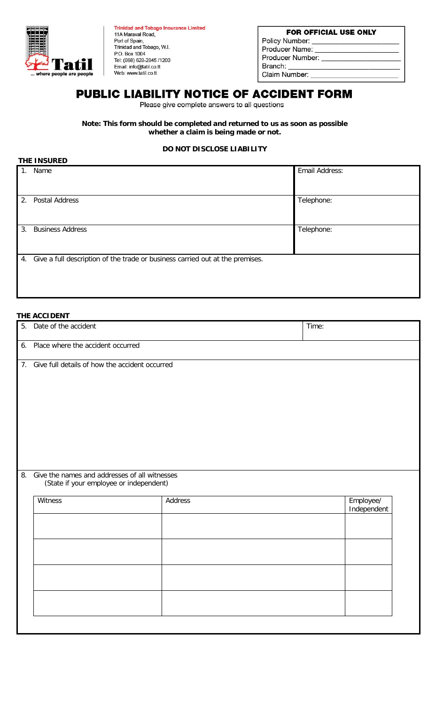

| <b>Trinidad and Tobago Insurance Limited</b> |
|----------------------------------------------|
| 11A Maraval Road,                            |
| Port of Spain,                               |
| Trinidad and Tobago, W.I.                    |
| P.O. Box 1004                                |
| Tel: (868) 628-2845/1200                     |
| Email: info@tatil.co.tt                      |
| Web: www.tatil.co.tt                         |
|                                              |

### FOR OFFICIAL USE ONLY Policy Number: Producer Name: Producer Number: Branch: Claim Number:

# PUBLIC LIABILITY NOTICE OF ACCIDENT FORM

Please give complete answers to all questions

**Note: This form should be completed and returned to us as soon as possible whether a claim is being made or not.**

## **DO NOT DISCLOSE LIABILITY**

|             | THE INSURED                                                                      |                |  |  |  |  |  |
|-------------|----------------------------------------------------------------------------------|----------------|--|--|--|--|--|
| $1_{\cdot}$ | Name                                                                             | Email Address: |  |  |  |  |  |
| 2.          | Postal Address                                                                   | Telephone:     |  |  |  |  |  |
| 3.          | <b>Business Address</b>                                                          | Telephone:     |  |  |  |  |  |
|             | 4. Give a full description of the trade or business carried out at the premises. |                |  |  |  |  |  |

## **THE ACCIDENT**

| 5. | Date of the accident                                                                               |         | Time:       |  |
|----|----------------------------------------------------------------------------------------------------|---------|-------------|--|
| 6. | Place where the accident occurred                                                                  |         |             |  |
| 8. | 7. Give full details of how the accident occurred<br>Give the names and addresses of all witnesses |         |             |  |
|    | (State if your employee or independent)<br>Witness                                                 | Address | Employee/   |  |
|    |                                                                                                    |         | Independent |  |
|    |                                                                                                    |         |             |  |
|    |                                                                                                    |         |             |  |
|    |                                                                                                    |         |             |  |
|    |                                                                                                    |         |             |  |
|    |                                                                                                    |         |             |  |